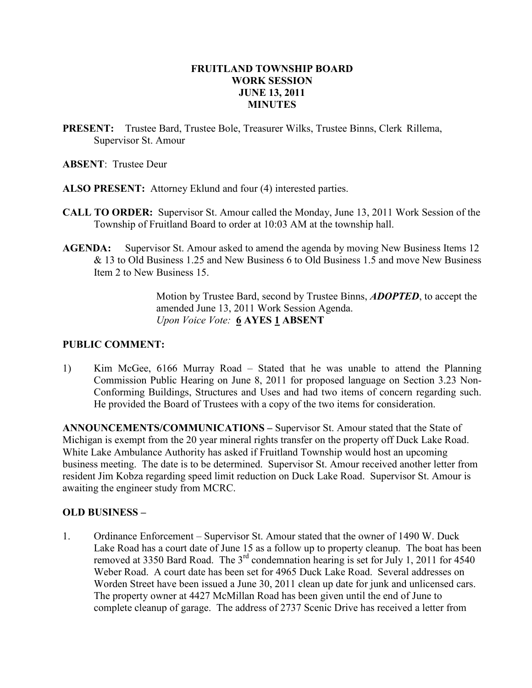# FRUITLAND TOWNSHIP BOARD WORK SESSION JUNE 13, 2011 MINUTES

PRESENT: Trustee Bard, Trustee Bole, Treasurer Wilks, Trustee Binns, Clerk Rillema, Supervisor St. Amour

ABSENT: Trustee Deur

- ALSO PRESENT: Attorney Eklund and four (4) interested parties.
- CALL TO ORDER: Supervisor St. Amour called the Monday, June 13, 2011 Work Session of the Township of Fruitland Board to order at 10:03 AM at the township hall.
- AGENDA: Supervisor St. Amour asked to amend the agenda by moving New Business Items 12 & 13 to Old Business 1.25 and New Business 6 to Old Business 1.5 and move New Business Item 2 to New Business 15.

 Motion by Trustee Bard, second by Trustee Binns, ADOPTED, to accept the amended June 13, 2011 Work Session Agenda. Upon Voice Vote: 6 AYES 1 ABSENT

# PUBLIC COMMENT:

1) Kim McGee, 6166 Murray Road – Stated that he was unable to attend the Planning Commission Public Hearing on June 8, 2011 for proposed language on Section 3.23 Non- Conforming Buildings, Structures and Uses and had two items of concern regarding such. He provided the Board of Trustees with a copy of the two items for consideration.

ANNOUNCEMENTS/COMMUNICATIONS – Supervisor St. Amour stated that the State of Michigan is exempt from the 20 year mineral rights transfer on the property off Duck Lake Road. White Lake Ambulance Authority has asked if Fruitland Township would host an upcoming business meeting. The date is to be determined. Supervisor St. Amour received another letter from resident Jim Kobza regarding speed limit reduction on Duck Lake Road. Supervisor St. Amour is awaiting the engineer study from MCRC.

# OLD BUSINESS –

1. Ordinance Enforcement – Supervisor St. Amour stated that the owner of 1490 W. Duck Lake Road has a court date of June 15 as a follow up to property cleanup. The boat has been removed at 3350 Bard Road. The 3<sup>rd</sup> condemnation hearing is set for July 1, 2011 for 4540 Weber Road. A court date has been set for 4965 Duck Lake Road. Several addresses on Worden Street have been issued a June 30, 2011 clean up date for junk and unlicensed cars. The property owner at 4427 McMillan Road has been given until the end of June to complete cleanup of garage. The address of 2737 Scenic Drive has received a letter from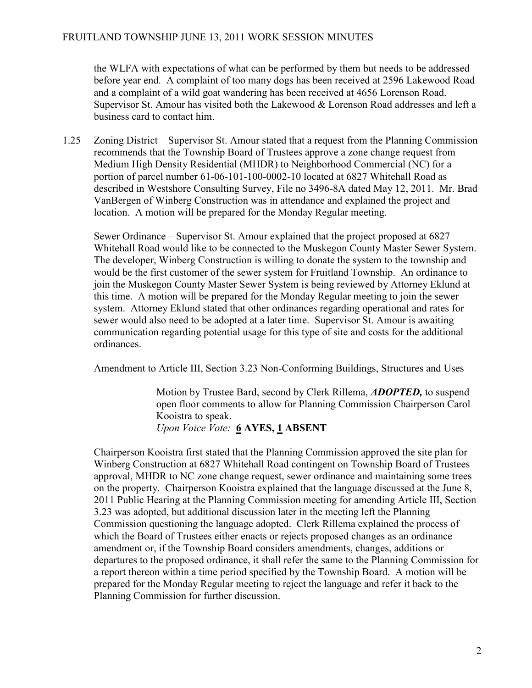the WLFA with expectations of what can be performed by them but needs to be addressed before year end. A complaint of too many dogs has been received at 2596 Lakewood Road and a complaint of a wild goat wandering has been received at 4656 Lorenson Road. Supervisor St. Amour has visited both the Lakewood & Lorenson Road addresses and left a business card to contact him.

1.25 Zoning District – Supervisor St. Amour stated that a request from the Planning Commission recommends that the Township Board of Trustees approve a zone change request from Medium High Density Residential (MHDR) to Neighborhood Commercial (NC) for a portion of parcel number 61-06-101-100-0002-10 located at 6827 Whitehall Road as described in Westshore Consulting Survey, File no 3496-8A dated May 12, 2011. Mr. Brad VanBergen of Winberg Construction was in attendance and explained the project and location. A motion will be prepared for the Monday Regular meeting.

 Sewer Ordinance – Supervisor St. Amour explained that the project proposed at 6827 Whitehall Road would like to be connected to the Muskegon County Master Sewer System. The developer, Winberg Construction is willing to donate the system to the township and would be the first customer of the sewer system for Fruitland Township. An ordinance to join the Muskegon County Master Sewer System is being reviewed by Attorney Eklund at this time. A motion will be prepared for the Monday Regular meeting to join the sewer system. Attorney Eklund stated that other ordinances regarding operational and rates for sewer would also need to be adopted at a later time. Supervisor St. Amour is awaiting communication regarding potential usage for this type of site and costs for the additional ordinances.

Amendment to Article III, Section 3.23 Non-Conforming Buildings, Structures and Uses –

 Motion by Trustee Bard, second by Clerk Rillema, ADOPTED, to suspend open floor comments to allow for Planning Commission Chairperson Carol Kooistra to speak. Upon Voice Vote: 6 AYES, 1 ABSENT

 Chairperson Kooistra first stated that the Planning Commission approved the site plan for Winberg Construction at 6827 Whitehall Road contingent on Township Board of Trustees approval, MHDR to NC zone change request, sewer ordinance and maintaining some trees on the property. Chairperson Kooistra explained that the language discussed at the June 8, 2011 Public Hearing at the Planning Commission meeting for amending Article III, Section 3.23 was adopted, but additional discussion later in the meeting left the Planning Commission questioning the language adopted. Clerk Rillema explained the process of which the Board of Trustees either enacts or rejects proposed changes as an ordinance amendment or, if the Township Board considers amendments, changes, additions or departures to the proposed ordinance, it shall refer the same to the Planning Commission for a report thereon within a time period specified by the Township Board. A motion will be prepared for the Monday Regular meeting to reject the language and refer it back to the Planning Commission for further discussion.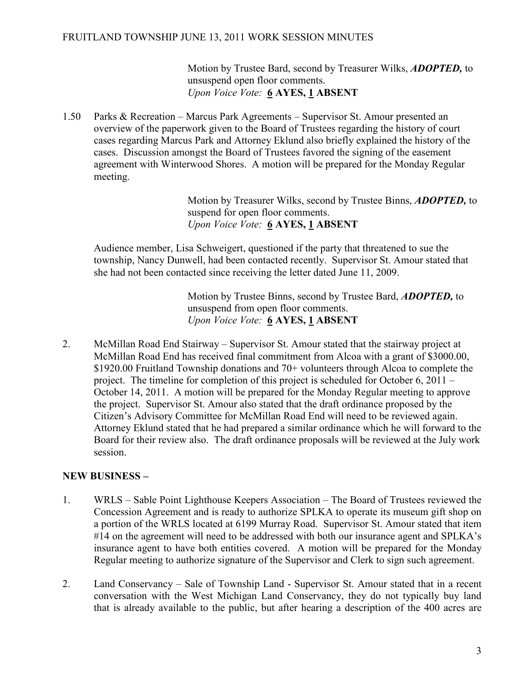### FRUITLAND TOWNSHIP JUNE 13, 2011 WORK SESSION MINUTES

Motion by Trustee Bard, second by Treasurer Wilks, **ADOPTED**, to unsuspend open floor comments. Upon Voice Vote: 6 AYES, 1 ABSENT

1.50 Parks & Recreation – Marcus Park Agreements – Supervisor St. Amour presented an overview of the paperwork given to the Board of Trustees regarding the history of court cases regarding Marcus Park and Attorney Eklund also briefly explained the history of the cases. Discussion amongst the Board of Trustees favored the signing of the easement agreement with Winterwood Shores. A motion will be prepared for the Monday Regular meeting.

> Motion by Treasurer Wilks, second by Trustee Binns, **ADOPTED**, to suspend for open floor comments. Upon Voice Vote: 6 AYES, 1 ABSENT

 Audience member, Lisa Schweigert, questioned if the party that threatened to sue the township, Nancy Dunwell, had been contacted recently. Supervisor St. Amour stated that she had not been contacted since receiving the letter dated June 11, 2009.

> Motion by Trustee Binns, second by Trustee Bard, **ADOPTED**, to unsuspend from open floor comments. Upon Voice Vote: 6 AYES, 1 ABSENT

2. McMillan Road End Stairway – Supervisor St. Amour stated that the stairway project at McMillan Road End has received final commitment from Alcoa with a grant of \$3000.00, \$1920.00 Fruitland Township donations and 70+ volunteers through Alcoa to complete the project. The timeline for completion of this project is scheduled for October 6, 2011 – October 14, 2011. A motion will be prepared for the Monday Regular meeting to approve the project. Supervisor St. Amour also stated that the draft ordinance proposed by the Citizen's Advisory Committee for McMillan Road End will need to be reviewed again. Attorney Eklund stated that he had prepared a similar ordinance which he will forward to the Board for their review also. The draft ordinance proposals will be reviewed at the July work session.

# NEW BUSINESS –

- 1. WRLS Sable Point Lighthouse Keepers Association The Board of Trustees reviewed the Concession Agreement and is ready to authorize SPLKA to operate its museum gift shop on a portion of the WRLS located at 6199 Murray Road. Supervisor St. Amour stated that item #14 on the agreement will need to be addressed with both our insurance agent and SPLKA's insurance agent to have both entities covered. A motion will be prepared for the Monday Regular meeting to authorize signature of the Supervisor and Clerk to sign such agreement.
- 2. Land Conservancy Sale of Township Land Supervisor St. Amour stated that in a recent conversation with the West Michigan Land Conservancy, they do not typically buy land that is already available to the public, but after hearing a description of the 400 acres are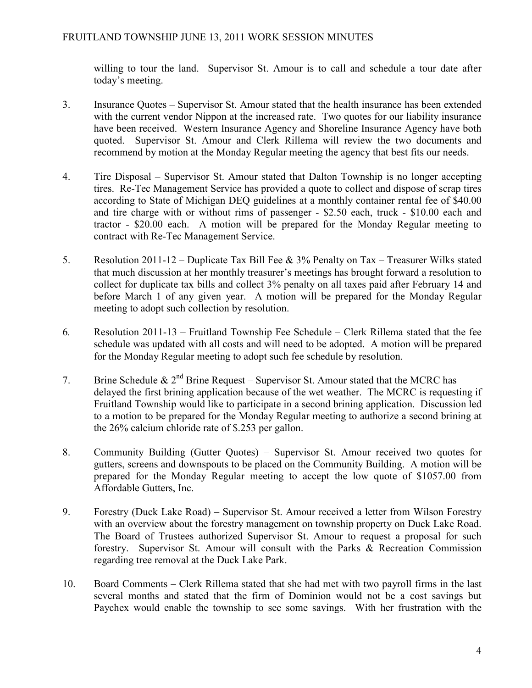willing to tour the land. Supervisor St. Amour is to call and schedule a tour date after today's meeting.

- 3. Insurance Quotes Supervisor St. Amour stated that the health insurance has been extended with the current vendor Nippon at the increased rate. Two quotes for our liability insurance have been received. Western Insurance Agency and Shoreline Insurance Agency have both quoted. Supervisor St. Amour and Clerk Rillema will review the two documents and recommend by motion at the Monday Regular meeting the agency that best fits our needs.
- 4. Tire Disposal Supervisor St. Amour stated that Dalton Township is no longer accepting tires. Re-Tec Management Service has provided a quote to collect and dispose of scrap tires according to State of Michigan DEQ guidelines at a monthly container rental fee of \$40.00 and tire charge with or without rims of passenger - \$2.50 each, truck - \$10.00 each and tractor - \$20.00 each. A motion will be prepared for the Monday Regular meeting to contract with Re-Tec Management Service.
- 5. Resolution 2011-12 Duplicate Tax Bill Fee & 3% Penalty on Tax Treasurer Wilks stated that much discussion at her monthly treasurer's meetings has brought forward a resolution to collect for duplicate tax bills and collect 3% penalty on all taxes paid after February 14 and before March 1 of any given year. A motion will be prepared for the Monday Regular meeting to adopt such collection by resolution.
- 6. Resolution 2011-13 Fruitland Township Fee Schedule Clerk Rillema stated that the fee schedule was updated with all costs and will need to be adopted. A motion will be prepared for the Monday Regular meeting to adopt such fee schedule by resolution.
- 7. Brine Schedule &  $2^{nd}$  Brine Request Supervisor St. Amour stated that the MCRC has delayed the first brining application because of the wet weather. The MCRC is requesting if Fruitland Township would like to participate in a second brining application. Discussion led to a motion to be prepared for the Monday Regular meeting to authorize a second brining at the 26% calcium chloride rate of \$.253 per gallon.
- 8. Community Building (Gutter Quotes) Supervisor St. Amour received two quotes for gutters, screens and downspouts to be placed on the Community Building. A motion will be prepared for the Monday Regular meeting to accept the low quote of \$1057.00 from Affordable Gutters, Inc.
- 9. Forestry (Duck Lake Road) Supervisor St. Amour received a letter from Wilson Forestry with an overview about the forestry management on township property on Duck Lake Road. The Board of Trustees authorized Supervisor St. Amour to request a proposal for such forestry. Supervisor St. Amour will consult with the Parks & Recreation Commission regarding tree removal at the Duck Lake Park.
- 10. Board Comments Clerk Rillema stated that she had met with two payroll firms in the last several months and stated that the firm of Dominion would not be a cost savings but Paychex would enable the township to see some savings. With her frustration with the